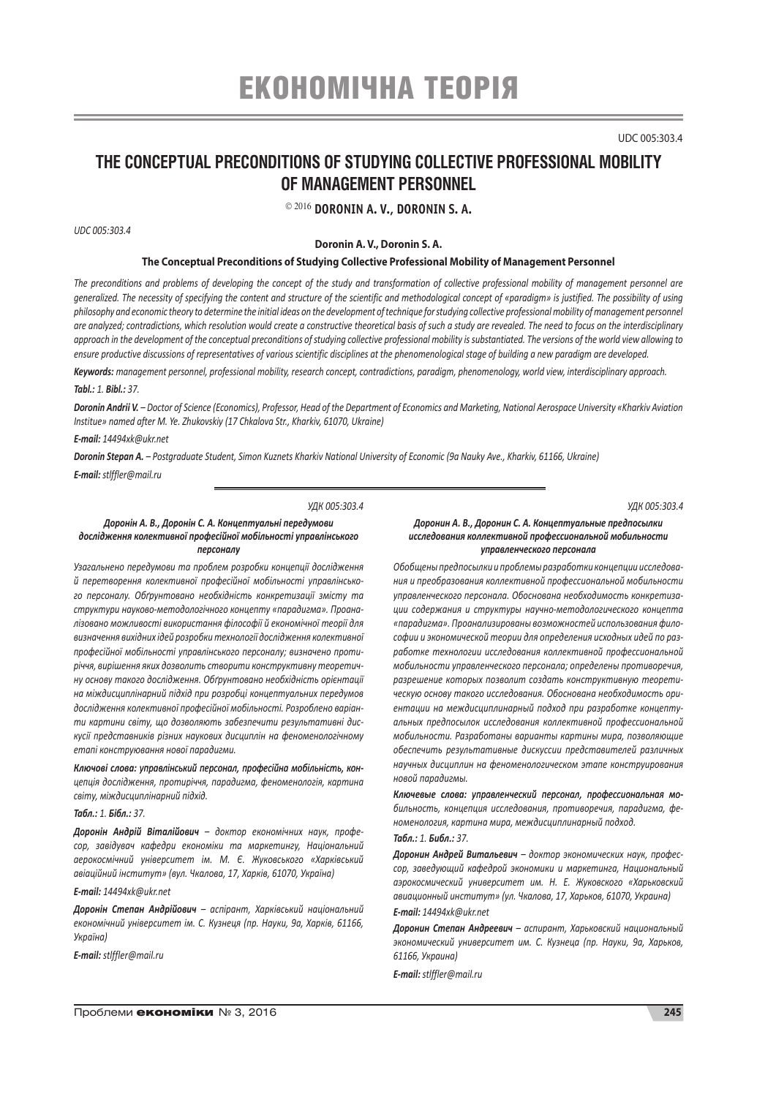# ЕКОНОМІЧНА ТЕОРІЯ

UDC 005:303.4

# **The Conceptual Preconditions of Studying Collective Professional Mobility of Management Personnel**

2016 **Doronin A. V., Doronin S. A.**

*UDC 005:303.4*

**Doronin A. V., Doronin S. A.**

#### **The Conceptual Preconditions of Studying Collective Professional Mobility of Management Personnel**

*The preconditions and problems of developing the concept of the study and transformation of collective professional mobility of management personnel are generalized. The necessity of specifying the content and structure of the scientific and methodological concept of «paradigm» is justified. The possibility of using philosophy and economic theory to determine the initial ideas on the development of technique for studying collective professional mobility of management personnel are analyzed; contradictions, which resolution would create a constructive theoretical basis of such a study are revealed. The need to focus on the interdisciplinary approach in the development of the conceptual preconditions of studying collective professional mobility is substantiated. The versions of the world view allowing to ensure productive discussions of representatives of various scientific disciplines at the phenomenological stage of building a new paradigm are developed.*

*Keywords: management personnel, professional mobility, research concept, contradictions, paradigm, phenomenology, world view, interdisciplinary approach.*

### *Tabl.: 1. Bibl.: 37.*

*Doronin Andrii V. – Doctor of Science (Economics), Professor, Head of the Department of Economics and Marketing, National Aerospace University «Kharkiv Aviation Institue» named after M. Ye. Zhukovskiy (17 Chkalova Str., Kharkіv, 61070, Ukraine)*

# *E-mail: 14494xk@ukr.net*

*Doronin Stepan A. – Postgraduate Student, Simon Kuznets Kharkiv National University of Economic (9a Nauky Ave., Kharkіv, 61166, Ukraine) E-mail: stlffler@mail.ru*

#### *УДК 005:303.4*

#### *Доронін А. В., Доронін С. А. Концептуальні передумови дослідження колективної професійної мобільності управлінського персоналу*

*Узагальнено передумови та проблем розробки концепції дослідження й перетворення колективної професійної мобільності управлінського персоналу. Обґрунтовано необхідність конкретизації змісту та структури науково-методологічного концепту «парадигма». Проаналізовано можливості використання філософії й економічної теорії для визначення вихідних ідей розробки технології дослідження колективної професійної мобільності управлінського персоналу; визначено протиріччя, вирішення яких дозволить створити конструктивну теоретичну основу такого дослідження. Обґрунтовано необхідність орієнтації на міждисциплінарний підхід при розробці концептуальних передумов дослідження колективної професійної мобільності. Розроблено варіанти картини світу, що дозволяють забезпечити результативні дискусії представників різних наукових дисциплін на феноменологічному етапі конструювання нової парадигми.*

*Ключові слова: управлінський персонал, професійна мобільність, концепція дослідження, протиріччя, парадигма, феноменологія, картина світу, міждисциплінарний підхід.*

#### *Табл.: 1. Бібл.: 37.*

*Доронін Андрій Віталійович – доктор економічних наук, професор, завідувач кафедри економіки та маркетингу, Національний аерокосмічний університет ім. М. Є. Жуковського «Харківський авіаційний інститут» (вул. Чкалова, 17, Харків, 61070, Україна)*

# *E-mail: 14494xk@ukr.net*

*Доронін Степан Андрійович – аспірант, Харківський національний економічний університет ім. С. Кузнеця (пр. Науки, 9а, Харків, 61166, Україна)*

*E-mail: stlffler@mail.ru*

# *УДК 005:303.4*

#### *Доронин А. В., Доронин С. А. Концептуальные предпосылки исследования коллективной профессиональной мобильности управленческого персонала*

*Обобщены предпосылки и проблемы разработки концепции исследования и преобразования коллективной профессиональной мобильности управленческого персонала. Обоснована необходимость конкретизации содержания и структуры научно-методологического концепта «парадигма». Проанализированы возможностей использования философии и экономической теории для определения исходных идей по разработке технологии исследования коллективной профессиональной мобильности управленческого персонала; определены противоречия, разрешение которых позволит создать конструктивную теоретическую основу такого исследования. Обоснована необходимость ориентации на междисциплинарный подход при разработке концептуальных предпосылок исследования коллективной профессиональной мобильности. Разработаны варианты картины мира, позволяющие обеспечить результативные дискуссии представителей различных научных дисциплин на феноменологическом этапе конструирования новой парадигмы.*

*Ключевые слова: управленческий персонал, профессиональная мобильность, концепция исследования, противоречия, парадигма, феноменология, картина мира, междисциплинарный подход.*

# *Табл.: 1. Библ.: 37.*

*Доронин Андрей Витальевич – доктор экономических наук, профессор, заведующий кафедрой экономики и маркетинга, Национальный аэрокосмический университет им. Н. Е. Жуковского «Харьковский авиационный институт» (ул. Чкалова, 17, Харьков, 61070, Украина) E-mail: 14494xk@ukr.net*

*Доронин Степан Андреевич – аспирант, Харьковский национальный экономический университет им. С. Кузнеца (пр. Науки, 9а, Харьков, 61166, Украина)*

*E-mail: stlffler@mail.ru*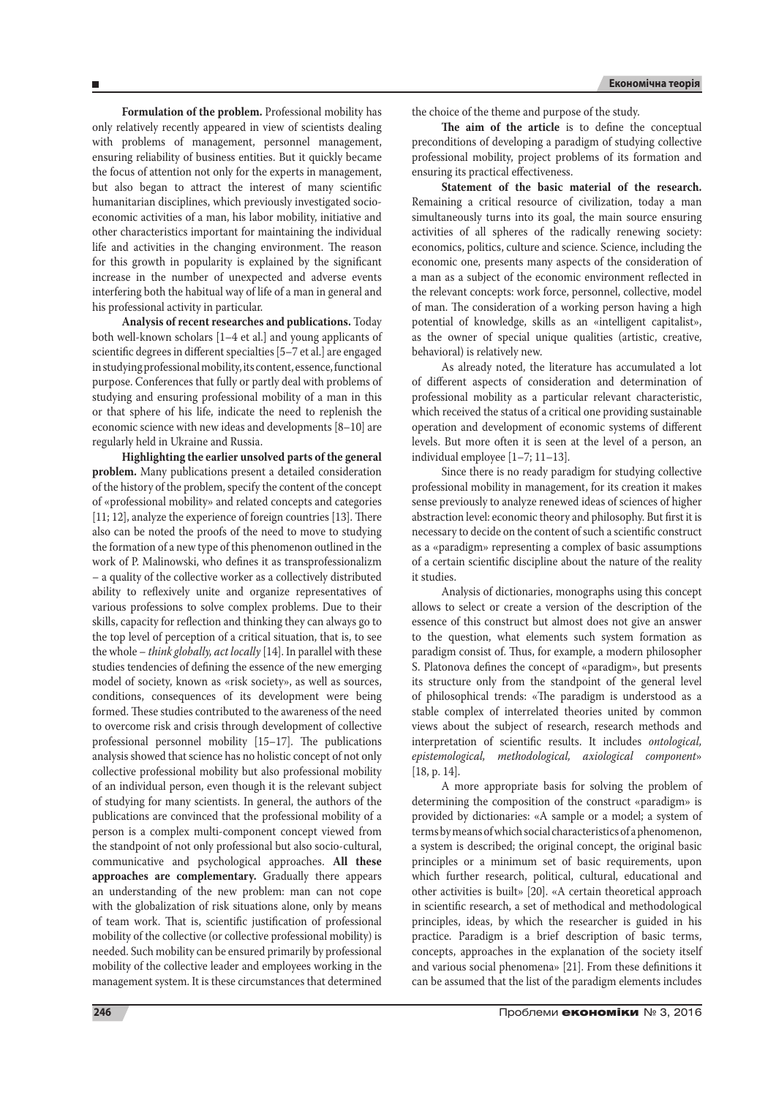**Formulation of the problem.** Professional mobility has only relatively recently appeared in view of scientists dealing with problems of management, personnel management, ensuring reliability of business entities. But it quickly became the focus of attention not only for the experts in management, but also began to attract the interest of many scientific humanitarian disciplines, which previously investigated socioeconomic activities of a man, his labor mobility, initiative and other characteristics important for maintaining the individual life and activities in the changing environment. The reason for this growth in popularity is explained by the significant increase in the number of unexpected and adverse events interfering both the habitual way of life of a man in general and his professional activity in particular.

**Analysis of recent researches and publications.** Today both well-known scholars [1–4 et al.] and young applicants of scientific degrees in different specialties [5–7 et al.] are engaged in studying professional mobility, its content, essence, functional purpose. Conferences that fully or partly deal with problems of studying and ensuring professional mobility of a man in this or that sphere of his life, indicate the need to replenish the economic science with new ideas and developments [8–10] are regularly held in Ukraine and Russia.

**Highlighting the earlier unsolved parts of the general problem.** Many publications present a detailed consideration of the history of the problem, specify the content of the concept of «professional mobility» and related concepts and categories [11; 12], analyze the experience of foreign countries [13]. There also can be noted the proofs of the need to move to studying the formation of a new type of this phenomenon outlined in the work of P. Malinowski, who defines it as transprofessionalizm – a quality of the collective worker as a collectively distributed ability to reflexively unite and organize representatives of various professions to solve complex problems. Due to their skills, capacity for reflection and thinking they can always go to the top level of perception of a critical situation, that is, to see the whole – *think globally, act locally* [14]. In parallel with these studies tendencies of defining the essence of the new emerging model of society, known as «risk society», as well as sources, conditions, consequences of its development were being formed. These studies contributed to the awareness of the need to overcome risk and crisis through development of collective professional personnel mobility [15–17]. The publications analysis showed that science has no holistic concept of not only collective professional mobility but also professional mobility of an individual person, even though it is the relevant subject of studying for many scientists. In general, the authors of the publications are convinced that the professional mobility of a person is a complex multi-component concept viewed from the standpoint of not only professional but also socio-cultural, communicative and psychological approaches. **All these approaches are complementary.** Gradually there appears an understanding of the new problem: man can not cope with the globalization of risk situations alone, only by means of team work. That is, scientific justification of professional mobility of the collective (or collective professional mobility) is needed. Such mobility can be ensured primarily by professional mobility of the collective leader and employees working in the management system. It is these circumstances that determined the choice of the theme and purpose of the study.

**The aim of the article** is to define the conceptual preconditions of developing a paradigm of studying collective professional mobility, project problems of its formation and ensuring its practical effectiveness.

**Statement of the basic material of the research.**  Remaining a critical resource of civilization, today a man simultaneously turns into its goal, the main source ensuring activities of all spheres of the radically renewing society: economics, politics, culture and science. Science, including the economic one, presents many aspects of the consideration of a man as a subject of the economic environment reflected in the relevant concepts: work force, personnel, collective, model of man. The consideration of a working person having a high potential of knowledge, skills as an «intelligent capitalist», as the owner of special unique qualities (artistic, creative, behavioral) is relatively new.

As already noted, the literature has accumulated a lot of different aspects of consideration and determination of professional mobility as a particular relevant characteristic, which received the status of a critical one providing sustainable operation and development of economic systems of different levels. But more often it is seen at the level of a person, an individual employee [1–7; 11–13].

Since there is no ready paradigm for studying collective professional mobility in management, for its creation it makes sense previously to analyze renewed ideas of sciences of higher abstraction level: economic theory and philosophy. But first it is necessary to decide on the content of such a scientific construct as a «paradigm» representing a complex of basic assumptions of a certain scientific discipline about the nature of the reality it studies.

Analysis of dictionaries, monographs using this concept allows to select or create a version of the description of the essence of this construct but almost does not give an answer to the question, what elements such system formation as paradigm consist of. Thus, for example, a modern philosopher S. Platonova defines the concept of «paradigm», but presents its structure only from the standpoint of the general level of philosophical trends: «The paradigm is understood as a stable complex of interrelated theories united by common views about the subject of research, research methods and interpretation of scientific results. It includes *ontological, epistemological, methodological, axiological component*» [18, p. 14].

A more appropriate basis for solving the problem of determining the composition of the construct «paradigm» is provided by dictionaries: «A sample or a model; a system of terms by means of which social characteristics of a phenomenon, a system is described; the original concept, the original basic principles or a minimum set of basic requirements, upon which further research, political, cultural, educational and other activities is built» [20]. «A certain theoretical approach in scientific research, a set of methodical and methodological principles, ideas, by which the researcher is guided in his practice. Paradigm is a brief description of basic terms, concepts, approaches in the explanation of the society itself and various social phenomena» [21]. From these definitions it can be assumed that the list of the paradigm elements includes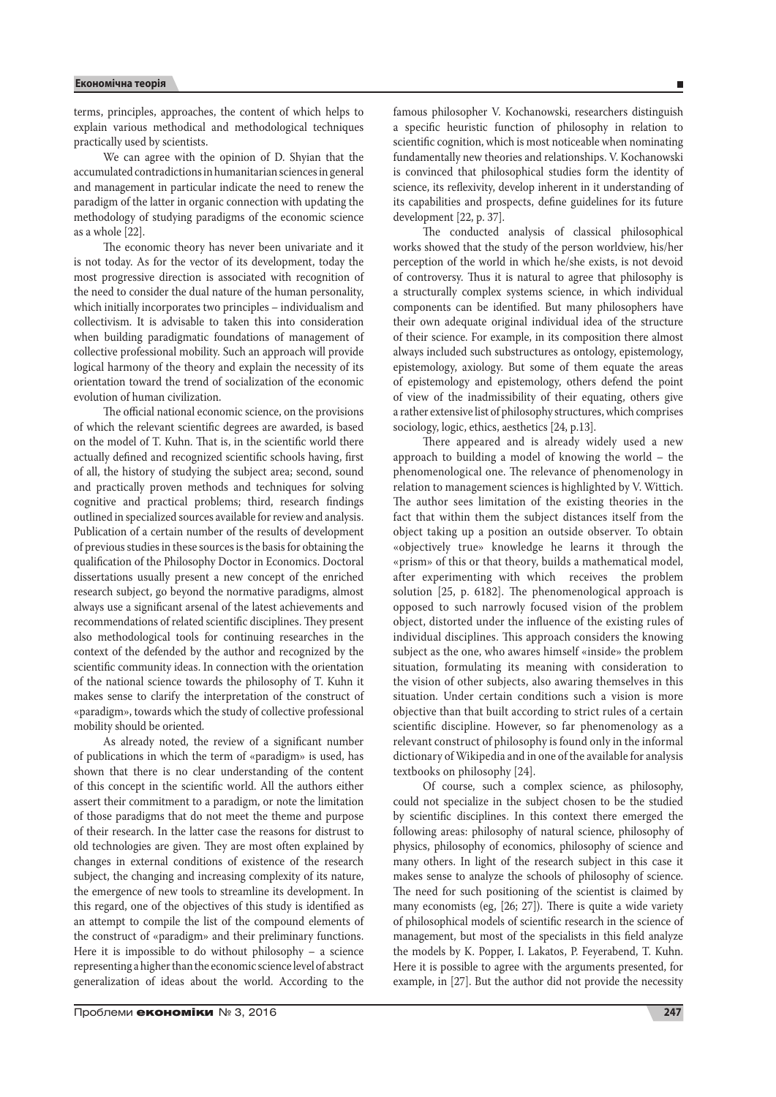terms, principles, approaches, the content of which helps to explain various methodical and methodological techniques practically used by scientists.

We can agree with the opinion of D. Shyian that the accumulated contradictions in humanitarian sciences in general and management in particular indicate the need to renew the paradigm of the latter in organic connection with updating the methodology of studying paradigms of the economic science as a whole [22].

The economic theory has never been univariate and it is not today. As for the vector of its development, today the most progressive direction is associated with recognition of the need to consider the dual nature of the human personality, which initially incorporates two principles – individualism and collectivism. It is advisable to taken this into consideration when building paradigmatic foundations of management of collective professional mobility. Such an approach will provide logical harmony of the theory and explain the necessity of its orientation toward the trend of socialization of the economic evolution of human civilization.

The official national economic science, on the provisions of which the relevant scientific degrees are awarded, is based on the model of T. Kuhn. That is, in the scientific world there actually defined and recognized scientific schools having, first of all, the history of studying the subject area; second, sound and practically proven methods and techniques for solving cognitive and practical problems; third, research findings outlined in specialized sources available for review and analysis. Publication of a certain number of the results of development of previous studies in these sources is the basis for obtaining the qualification of the Philosophy Doctor in Economics. Doctoral dissertations usually present a new concept of the enriched research subject, go beyond the normative paradigms, almost always use a significant arsenal of the latest achievements and recommendations of related scientific disciplines. They present also methodological tools for continuing researches in the context of the defended by the author and recognized by the scientific community ideas. In connection with the orientation of the national science towards the philosophy of T. Kuhn it makes sense to clarify the interpretation of the construct of «paradigm», towards which the study of collective professional mobility should be oriented.

As already noted, the review of a significant number of publications in which the term of «paradigm» is used, has shown that there is no clear understanding of the content of this concept in the scientific world. All the authors either assert their commitment to a paradigm, or note the limitation of those paradigms that do not meet the theme and purpose of their research. In the latter case the reasons for distrust to old technologies are given. They are most often explained by changes in external conditions of existence of the research subject, the changing and increasing complexity of its nature, the emergence of new tools to streamline its development. In this regard, one of the objectives of this study is identified as an attempt to compile the list of the compound elements of the construct of «paradigm» and their preliminary functions. Here it is impossible to do without philosophy – a science representing a higher than the economic science level of abstract generalization of ideas about the world. According to the

famous philosopher V. Kochanowski, researchers distinguish a specific heuristic function of philosophy in relation to scientific cognition, which is most noticeable when nominating fundamentally new theories and relationships. V. Kochanowski is convinced that philosophical studies form the identity of science, its reflexivity, develop inherent in it understanding of its capabilities and prospects, define guidelines for its future development [22, p. 37].

The conducted analysis of classical philosophical works showed that the study of the person worldview, his/her perception of the world in which he/she exists, is not devoid of controversy. Thus it is natural to agree that philosophy is a structurally complex systems science, in which individual components can be identified. But many philosophers have their own adequate original individual idea of the structure of their science. For example, in its composition there almost always included such substructures as ontology, epistemology, epistemology, axiology. But some of them equate the areas of epistemology and epistemology, others defend the point of view of the inadmissibility of their equating, others give a rather extensive list of philosophy structures, which comprises sociology, logic, ethics, aesthetics [24, p.13].

There appeared and is already widely used a new approach to building a model of knowing the world – the phenomenological one. The relevance of phenomenology in relation to management sciences is highlighted by V. Wittich. The author sees limitation of the existing theories in the fact that within them the subject distances itself from the object taking up a position an outside observer. To obtain «objectively true» knowledge he learns it through the «prism» of this or that theory, builds a mathematical model, after experimenting with which receives the problem solution [25, p. 6182]. The phenomenological approach is opposed to such narrowly focused vision of the problem object, distorted under the influence of the existing rules of individual disciplines. This approach considers the knowing subject as the one, who awares himself «inside» the problem situation, formulating its meaning with consideration to the vision of other subjects, also awaring themselves in this situation. Under certain conditions such a vision is more objective than that built according to strict rules of a certain scientific discipline. However, so far phenomenology as a relevant construct of philosophy is found only in the informal dictionary of Wikipedia and in one of the available for analysis textbooks on philosophy [24].

Of course, such a complex science, as philosophy, could not specialize in the subject chosen to be the studied by scientific disciplines. In this context there emerged the following areas: philosophy of natural science, philosophy of physics, philosophy of economics, philosophy of science and many others. In light of the research subject in this case it makes sense to analyze the schools of philosophy of science. The need for such positioning of the scientist is claimed by many economists (eg, [26; 27]). There is quite a wide variety of philosophical models of scientific research in the science of management, but most of the specialists in this field analyze the models by K. Popper, I. Lakatos, P. Feyerabend, T. Kuhn. Here it is possible to agree with the arguments presented, for example, in [27]. But the author did not provide the necessity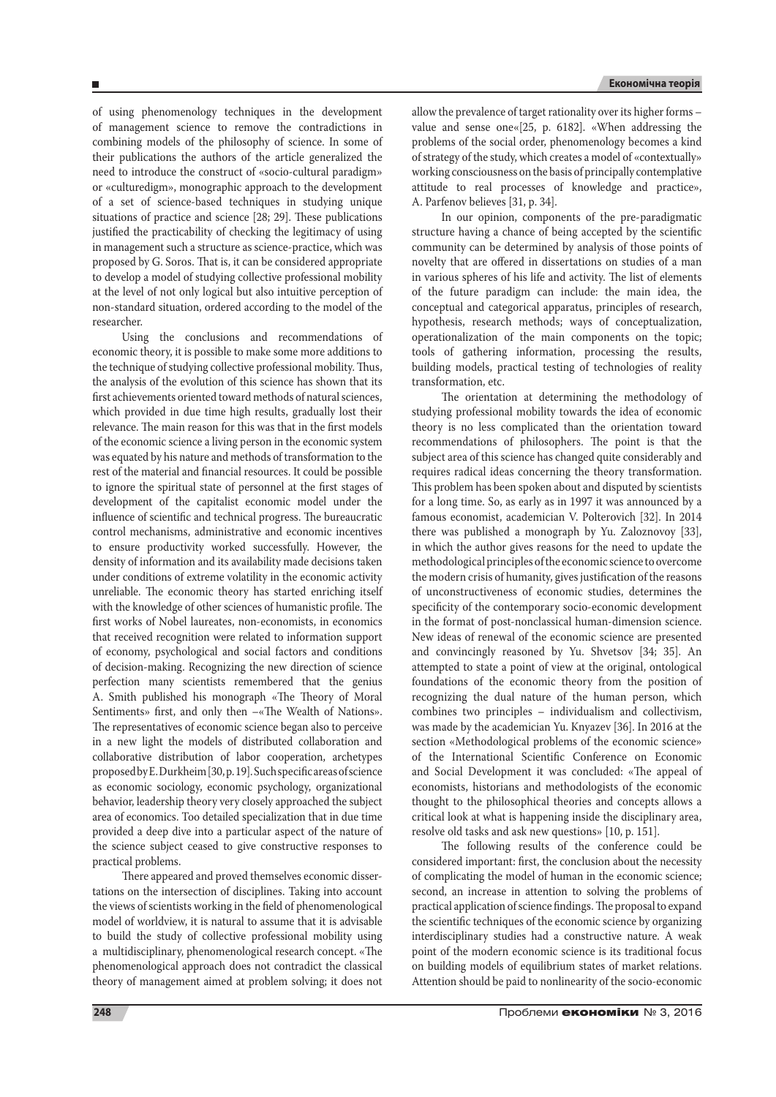of using phenomenology techniques in the development of management science to remove the contradictions in combining models of the philosophy of science. In some of their publications the authors of the article generalized the need to introduce the construct of «socio-cultural paradigm» or «culturedigm», monographic approach to the development of a set of science-based techniques in studying unique situations of practice and science [28; 29]. These publications justified the practicability of checking the legitimacy of using in management such a structure as science-practice, which was proposed by G. Soros. That is, it can be considered appropriate to develop a model of studying collective professional mobility at the level of not only logical but also intuitive perception of non-standard situation, ordered according to the model of the researcher.

Using the conclusions and recommendations of economic theory, it is possible to make some more additions to the technique of studying collective professional mobility. Thus, the analysis of the evolution of this science has shown that its first achievements oriented toward methods of natural sciences, which provided in due time high results, gradually lost their relevance. The main reason for this was that in the first models of the economic science a living person in the economic system was equated by his nature and methods of transformation to the rest of the material and financial resources. It could be possible to ignore the spiritual state of personnel at the first stages of development of the capitalist economic model under the influence of scientific and technical progress. The bureaucratic control mechanisms, administrative and economic incentives to ensure productivity worked successfully. However, the density of information and its availability made decisions taken under conditions of extreme volatility in the economic activity unreliable. The economic theory has started enriching itself with the knowledge of other sciences of humanistic profile. The first works of Nobel laureates, non-economists, in economics that received recognition were related to information support of economy, psychological and social factors and conditions of decision-making. Recognizing the new direction of science perfection many scientists remembered that the genius A. Smith published his monograph «The Theory of Moral Sentiments» first, and only then –«The Wealth of Nations». The representatives of economic science began also to perceive in a new light the models of distributed collaboration and collaborative distribution of labor cooperation, archetypes proposed by E. Durkheim [30, p. 19].Such specific areas of science as economic sociology, economic psychology, organizational behavior, leadership theory very closely approached the subject area of economics. Too detailed specialization that in due time provided a deep dive into a particular aspect of the nature of the science subject ceased to give constructive responses to practical problems.

There appeared and proved themselves economic dissertations on the intersection of disciplines. Taking into account the views of scientists working in the field of phenomenological model of worldview, it is natural to assume that it is advisable to build the study of collective professional mobility using a multidisciplinary, phenomenological research concept. «The phenomenological approach does not contradict the classical theory of management aimed at problem solving; it does not allow the prevalence of target rationality over its higher forms – value and sense one«[25, p. 6182]. «When addressing the problems of the social order, phenomenology becomes a kind of strategy of the study, which creates a model of «contextually» working consciousness on the basis of principally contemplative attitude to real processes of knowledge and practice», A. Parfenov believes [31, p. 34].

In our opinion, components of the pre-paradigmatic structure having a chance of being accepted by the scientific community can be determined by analysis of those points of novelty that are offered in dissertations on studies of a man in various spheres of his life and activity. The list of elements of the future paradigm can include: the main idea, the conceptual and categorical apparatus, principles of research, hypothesis, research methods; ways of conceptualization, operationalization of the main components on the topic; tools of gathering information, processing the results, building models, practical testing of technologies of reality transformation, etc.

The orientation at determining the methodology of studying professional mobility towards the idea of economic theory is no less complicated than the orientation toward recommendations of philosophers. The point is that the subject area of this science has changed quite considerably and requires radical ideas concerning the theory transformation. This problem has been spoken about and disputed by scientists for a long time. So, as early as in 1997 it was announced by a famous economist, academician V. Polterovich [32]. In 2014 there was published a monograph by Yu. Zaloznovoy [33], in which the author gives reasons for the need to update the methodological principles of the economic science to overcome the modern crisis of humanity, gives justification of the reasons of unconstructiveness of economic studies, determines the specificity of the contemporary socio-economic development in the format of post-nonclassical human-dimension science. New ideas of renewal of the economic science are presented and convincingly reasoned by Yu. Shvetsov [34; 35]. An attempted to state a point of view at the original, ontological foundations of the economic theory from the position of recognizing the dual nature of the human person, which combines two principles – individualism and collectivism, was made by the academician Yu. Knyazev [36]. In 2016 at the section «Methodological problems of the economic science» of the International Scientific Conference on Economic and Social Development it was concluded: «The appeal of economists, historians and methodologists of the economic thought to the philosophical theories and concepts allows a critical look at what is happening inside the disciplinary area, resolve old tasks and ask new questions» [10, p. 151].

The following results of the conference could be considered important: first, the conclusion about the necessity of complicating the model of human in the economic science; second, an increase in attention to solving the problems of practical application of science findings. The proposal to expand the scientific techniques of the economic science by organizing interdisciplinary studies had a constructive nature. A weak point of the modern economic science is its traditional focus on building models of equilibrium states of market relations. Attention should be paid to nonlinearity of the socio-economic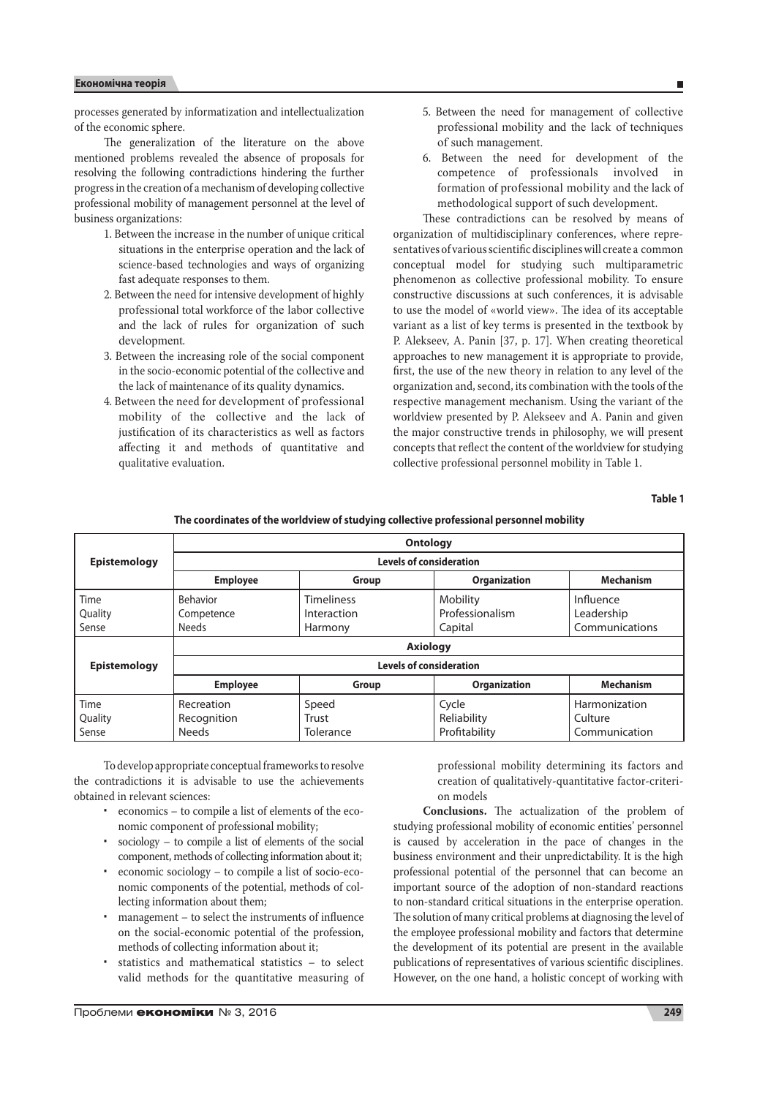# **Економічна теорія**

processes generated by informatization and intellectualization of the economic sphere.

The generalization of the literature on the above mentioned problems revealed the absence of proposals for resolving the following contradictions hindering the further progress in the creation of a mechanism of developing collective professional mobility of management personnel at the level of business organizations:

- 1. Between the increase in the number of unique critical situations in the enterprise operation and the lack of science-based technologies and ways of organizing fast adequate responses to them.
- 2. Between the need for intensive development of highly professional total workforce of the labor collective and the lack of rules for organization of such development.
- 3. Between the increasing role of the social component in the socio-economic potential of the collective and the lack of maintenance of its quality dynamics.
- 4. Between the need for development of professional mobility of the collective and the lack of justification of its characteristics as well as factors affecting it and methods of quantitative and qualitative evaluation.
- 5. Between the need for management of collective professional mobility and the lack of techniques of such management.
- 6. Between the need for development of the competence of professionals involved in formation of professional mobility and the lack of methodological support of such development.

These contradictions can be resolved by means of organization of multidisciplinary conferences, where representatives of various scientific disciplines will create a common conceptual model for studying such multiparametric phenomenon as collective professional mobility. To ensure constructive discussions at such conferences, it is advisable to use the model of «world view». The idea of its acceptable variant as a list of key terms is presented in the textbook by P. Alekseev, A. Panin [37, p. 17]. When creating theoretical approaches to new management it is appropriate to provide, first, the use of the new theory in relation to any level of the organization and, second, its combination with the tools of the respective management mechanism. Using the variant of the worldview presented by P. Alekseev and A. Panin and given the major constructive trends in philosophy, we will present concepts that reflect the content of the worldview for studying collective professional personnel mobility in Table 1.

**Table 1**

| The coordinates of the worldview of studying collective professional personnel mobility |                                |                   |                     |                  |
|-----------------------------------------------------------------------------------------|--------------------------------|-------------------|---------------------|------------------|
|                                                                                         | <b>Ontology</b>                |                   |                     |                  |
| <b>Epistemology</b>                                                                     | <b>Levels of consideration</b> |                   |                     |                  |
|                                                                                         | <b>Employee</b>                | Group             | <b>Organization</b> | <b>Mechanism</b> |
| Time                                                                                    | Behavior                       | <b>Timeliness</b> | Mobility            | Influence        |
| Quality                                                                                 | Competence                     | Interaction       | Professionalism     | Leadership       |
| Sense                                                                                   | <b>Needs</b>                   | Harmony           | Capital             | Communications   |
|                                                                                         | <b>Axiology</b>                |                   |                     |                  |
| <b>Epistemology</b>                                                                     | <b>Levels of consideration</b> |                   |                     |                  |
|                                                                                         | <b>Employee</b>                | Group             | <b>Organization</b> | <b>Mechanism</b> |
| Time                                                                                    | Recreation                     | Speed             | Cycle               | Harmonization    |
| Quality                                                                                 | Recognition                    | Trust             | Reliability         | Culture          |
| Sense                                                                                   | <b>Needs</b>                   | Tolerance         | Profitability       | Communication    |

To develop appropriate conceptual frameworks to resolve the contradictions it is advisable to use the achievements obtained in relevant sciences:

- economics to compile a list of elements of the economic component of professional mobility;
- sociology to compile a list of elements of the social component, methods of collecting information about it;
- economic sociology to compile a list of socio-economic components of the potential, methods of collecting information about them;
- management to select the instruments of influence on the social-economic potential of the profession, methods of collecting information about it;
- statistics and mathematical statistics to select valid methods for the quantitative measuring of

professional mobility determining its factors and creation of qualitatively-quantitative factor-criterion models

**Conclusions.** The actualization of the problem of studying professional mobility of economic entities' personnel is caused by acceleration in the pace of changes in the business environment and their unpredictability. It is the high professional potential of the personnel that can become an important source of the adoption of non-standard reactions to non-standard critical situations in the enterprise operation. The solution of many critical problems at diagnosing the level of the employee professional mobility and factors that determine the development of its potential are present in the available publications of representatives of various scientific disciplines. However, on the one hand, a holistic concept of working with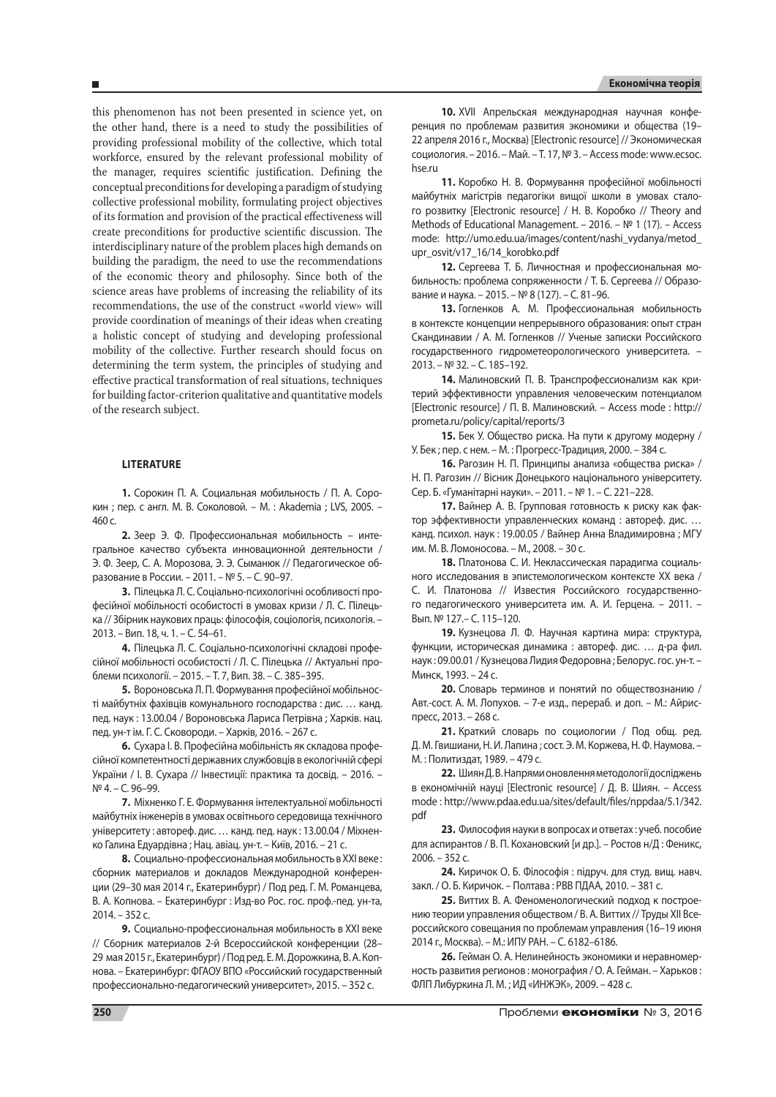this phenomenon has not been presented in science yet, on the other hand, there is a need to study the possibilities of providing professional mobility of the collective, which total workforce, ensured by the relevant professional mobility of the manager, requires scientific justification. Defining the conceptual preconditions for developing a paradigm of studying collective professional mobility, formulating project objectives of its formation and provision of the practical effectiveness will create preconditions for productive scientific discussion. The interdisciplinary nature of the problem places high demands on building the paradigm, the need to use the recommendations of the economic theory and philosophy. Since both of the science areas have problems of increasing the reliability of its recommendations, the use of the construct «world view» will provide coordination of meanings of their ideas when creating a holistic concept of studying and developing professional mobility of the collective. Further research should focus on determining the term system, the principles of studying and effective practical transformation of real situations, techniques for building factor-criterion qualitative and quantitative models of the research subject.

# **Literature**

**1.** Сорокин П. А. Социальная мобильность / П. А. Сорокин ; пер. с англ. М. В. Соколовой. – М. : Akademia ; LVS, 2005. – 460 с.

**2.** Зеер Э. Ф. Профессиональная мобильность – интегральное качество субъекта инновационной деятельности / Э. Ф. Зеер, С. А. Морозова, Э. Э. Сыманюк // Педагогическое образование в России. – 2011. – № 5. – С. 90–97.

**3.** Пілецька Л. С. Соціально-психологічні особливості професійної мобільності особистості в умовах кризи / Л. С. Пілецька // Збірник наукових праць: філософія, соціологія, психологія. – 2013. – Вип. 18, ч. 1. – С. 54–61.

**4.** Пілецька Л. С. Соціально-психологічні складові професійної мобільності особистості / Л. С. Пілецька // Актуальні проблеми психології. – 2015. – Т. 7, Вип. 38. – С. 385–395.

**5.** Вороновська Л. П. Формування професійної мобільності майбутніх фахівців комунального господарства : дис. … канд. пед. наук : 13.00.04 / Вороновська Лариса Петрівна ; Харків. нац. пед. ун-т ім. Г. С. Сковороди. – Харків, 2016. – 267 с.

**6.** Сухара І. В. Професійна мобільність як складова професійної компетентності державних службовців в екологічній сфері України / І. В. Сухара // Інвестиції: практика та досвід. – 2016. – № 4. – С. 96–99.

**7.** Міхненко Г. Е. Формування інтелектуальної мобільності майбутніх інженерів в умовах освітнього середовища технічного університету : автореф. дис. … канд. пед. наук : 13.00.04 / Міхненко Галина Едуардівна ; Нац. авіац. ун-т. – Київ, 2016. – 21 с.

**8.** Социально-профессиональная мобильность в XXI веке : сборник материалов и докладов Международной конференции (29–30 мая 2014 г., Екатеринбург) / Под ред. Г. М. Романцева, В. А. Копнова. – Екатеринбург : Изд-во Рос. гос. проф.-пед. ун-та, 2014. – 352 с.

**9.** Социально-профессиональная мобильность в XXI веке // С6орник материалов 2-й Всероссийской конференции (28– 29 мая 2015 г., Екатеринбург) / Под ред. Е. М. Дорожкина, В. А. Копнова. – Екатеринбург: ФГАОУ ВПО «Российский государственный профессионально-педагогический университет», 2015. – 352 с.

**10.** XVII Апрельская международная научная конференция по проблемам развития экономики и общества (19– 22 апреля 2016 г., Москва) [Electronic resource] // Экономическая социология. – 2016. – Май. – Т. 17, № 3. – Access mode: www.ecsoc. hse.ru

**11.** Коробко Н. В. Формування професійної мобільності майбутніх магістрів педагогіки вищої школи в умовах сталого розвитку [Electronic resource] / Н. В. Коробко // Theory and Methods of Educational Management. – 2016. – № 1 (17). – Access mode: http://umo.edu.ua/images/content/nashi\_vydanya/metod\_ upr\_osvit/v17\_16/14\_korobko.pdf

**12.** Сергеева Т. Б. Личностная и профессиональная мобильность: проблема сопряженности / Т. Б. Сергеева // Образование и наука. – 2015. – № 8 (127). – С. 81–96.

**13.** Гогленков А. М. Профессиональная мобильность в контексте концепции непрерывного образования: опыт стран Скандинавии / А. М. Гогленков // Ученые записки Российского государственного гидрометеорологического университета. – 2013. – № 32. – С. 185–192.

**14.** Малиновский П. В. Транспрофессионализм как критерий эффективности управления человеческим потенциалом [Electronic resource] / П. В. Малиновский. – Access mode : http:// prometa.ru/policy/capital/reports/3

**15.** Бек У. Общество риска. На пути к другому модерну / У. Бек ; пер. с нем. – М. : Прогресс-Традиция, 2000. – 384 с.

**16.** Рагозин Н. П. Принципы анализа «общества риска» / Н. П. Рагозин // Вісник Донецького національного університету. Сер. Б. «Гуманітарні науки». – 2011. – № 1. – С. 221–228.

**17.** Вайнер А. В. Групповая готовность к риску как фактор эффективности управленческих команд : автореф. дис. … канд. психол. наук : 19.00.05 / Вайнер Анна Владимировна ; МГУ им. М. В. Ломоносова. – М., 2008. – 30 с.

**18.** Платонова С. И. Неклассическая парадигма социального исследования в эпистемологическом контексте ХХ века / С. И. Платонова // Известия Российского государственного педагогического университета им. А. И. Герцена. – 2011. – Вып. № 127.– С. 115–120.

**19.** Кузнецова Л. Ф. Научная картина мира: структура, функции, историческая динамика : автореф. дис. … д-ра фил. наук : 09.00.01 / Кузнецова Лидия Федоровна ; Белорус. гос. ун-т. – Минск, 1993. – 24 с.

**20.** Словарь терминов и понятий по обществознанию / Авт.-сост. А. М. Лопухов. – 7-е изд., перераб. и доп. – М.: Айриспресс, 2013. – 268 с.

**21.** Краткий словарь по социологии / Под общ. ред. Д. М. Гвишиани, Н. И. Лапина ; сост. Э. М. Коржева, Н. Ф. Наумова. – М. : Политиздат, 1989. – 479 с.

**22.** Шиян Д. В. Напрями оновлення методології досліджень в економічній науці [Electronic resource] / Д. В. Шиян. – Access mode : http://www.pdaa.edu.ua/sites/default/files/nppdaa/5.1/342. pdf

**23.** Философия науки в вопросах и ответах : учеб. пособие для аспирантов / В. П. Кохановский [и др.]. – Ростов н/Д : Феникс, 2006. – 352 с.

**24.** Киричок О. Б. Філософія : підруч. для студ. вищ. навч. закл. / О. Б. Киричок. – Полтава : РВВ ПДАА, 2010. – 381 с.

**25.** Виттих В. А. Феноменологический подход к построению теории управления обществом / В. А. Виттих // Труды XII Всероссийского совещания по проблемам управления (16–19 июня 2014 г., Москва). – М.: ИПУ РАН. – С. 6182–6186.

**26.** Гейман О. А. Нелинейность экономики и неравномерность развития регионов : монография / О. А. Гейман. – Харьков : ФЛП Либуркина Л. М. ; ИД «ИНЖЭК», 2009. – 428 с.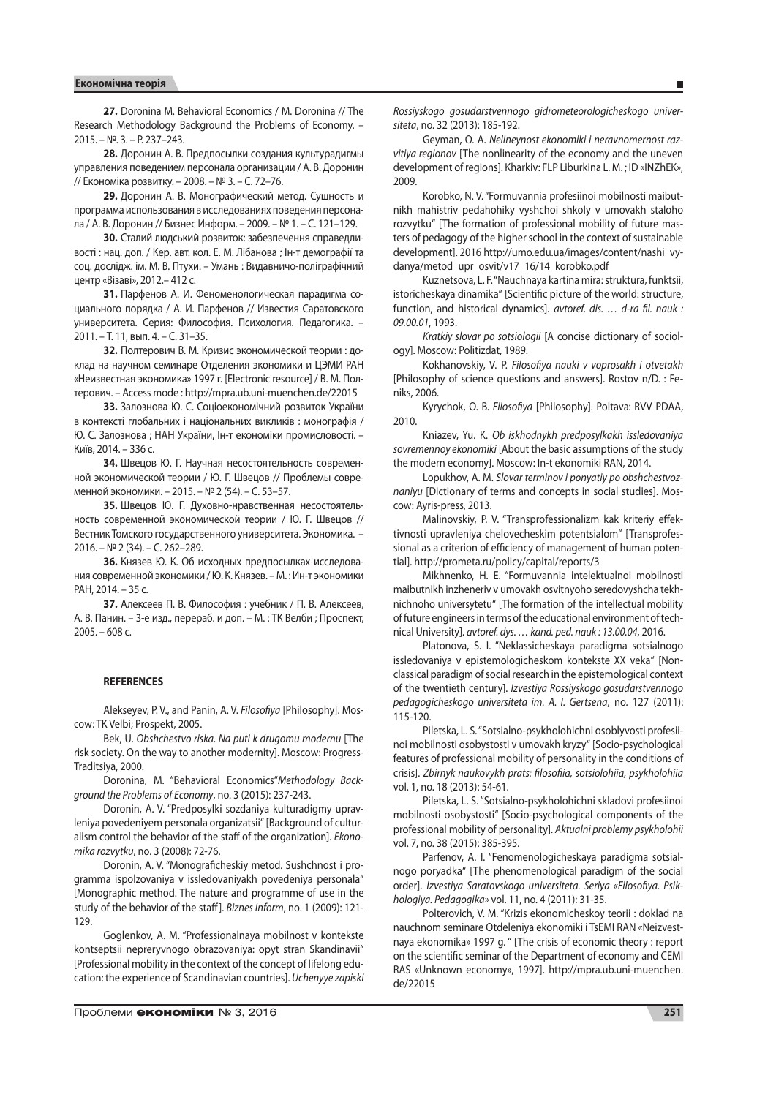**27.** Doronina M. Behavioral Economics / M. Doronina // The Research Methodology Background the Problems of Economy. – 2015. – №. 3. – P. 237–243.

**28.** Доронин А. В. Предпосылки создания культурадигмы управления поведением персонала организации / А. В. Доронин // Економіка розвитку. – 2008. – № 3. – С. 72–76.

**29.** Доронин А. В. Монографический метод. Сущность и программа использования в исследованиях поведения персонала / А. В. Доронин // Бизнес Информ. – 2009. – № 1. – С. 121–129.

**30.** Сталий людський розвиток: забезпечення справедливості : нац. доп. / Кер. авт. кол. Е. М. Лібанова ; Ін-т демографії та соц. дослідж. ім. М. В. Птухи. – Умань : Видавничо-поліграфічний центр «Візаві», 2012.– 412 с.

**31.** Парфенов А. И. Феноменологическая парадигма социального порядка / А. И. Парфенов // Известия Саратовского университета. Серия: Философия. Психология. Педагогика. – 2011. – Т. 11, вып. 4. – С. 31–35.

**32.** Полтерович В. М. Кризис экономической теории : доклад на научном семинаре Отделения экономики и ЦЭМИ РАН «Неизвестная экономика» 1997 г. [Electronic resource] / В. М. Полтерович. – Access mode : http://mpra.ub.uni-muenchen.de/22015

**33.** Залознова Ю. С. Соціоекономічний розвиток України в контексті глобальних і національних викликів : монографія / Ю. С. Залознова ; НАН України, Ін-т економіки промисловості. – Київ, 2014. – 336 с.

**34.** Швецов Ю. Г. Научная несостоятельность современной экономической теории / Ю. Г. Швецов // Проблемы современной экономики. – 2015. – № 2 (54). – С. 53–57.

**35.** Швецов Ю. Г. Духовно-нравственная несостоятельность современной экономической теории / Ю. Г. Швецов // Вестник Томского государственного университета. Экономика. – 2016. – № 2 (34). – С. 262–289.

**36.** Князев Ю. К. Об исходных предпосылках исследования современной экономики / Ю. К. Князев. – М. : Ин-т экономики РАН, 2014. – 35 с.

**37.** Алексеев П. В. Философия : учебник / П. В. Алексеев, А. В. Панин. – 3-е изд., перераб. и доп. – М. : ТК Велби ; Проспект, 2005. – 608 с.

#### **REFERENCES**

Alekseyev, P. V., and Panin, A. V. *Filosofiya* [Philosophy]. Moscow: TK Velbi; Prospekt, 2005.

Bek, U. *Obshchestvo riska. Na puti k drugomu modernu* [The risk society. On the way to another modernity]. Moscow: Progress-Traditsiya, 2000.

Doronina, M. "Behavioral Economics"*Methodology Background the Problems of Economy*, no. 3 (2015): 237-243.

Doronin, A. V. "Predposylki sozdaniya kulturadigmy upravleniya povedeniyem personala organizatsii" [Background of culturalism control the behavior of the staff of the organization]. *Ekonomika rozvytku*, no. 3 (2008): 72-76.

Doronin, A. V. "Monograficheskiy metod. Sushchnost i programma ispolzovaniya v issledovaniyakh povedeniya personala" [Monographic method. The nature and programme of use in the study of the behavior of the staff]. *Biznes Inform*, no. 1 (2009): 121- 129.

Goglenkov, A. M. "Professionalnaya mobilnost v kontekste kontseptsii nepreryvnogo obrazovaniya: opyt stran Skandinavii" [Professional mobility in the context of the concept of lifelong education: the experience of Scandinavian countries]. *Uchenyye zapiski* 

*Rossiyskogo gosudarstvennogo gidrometeorologicheskogo universiteta*, no. 32 (2013): 185-192.

Geyman, O. A. *Nelineynost ekonomiki i neravnomernost razvitiya regionov* [The nonlinearity of the economy and the uneven development of regions]. Kharkiv: FLP Liburkina L. M. ; ID «INZhEK», 2009.

Korobko, N. V. "Formuvannia profesiinoi mobilnosti maibutnikh mahistriv pedahohiky vyshchoi shkoly v umovakh staloho rozvytku" [The formation of professional mobility of future masters of pedagogy of the higher school in the context of sustainable development]. 2016 http://umo.edu.ua/images/content/nashi\_vydanya/metod\_upr\_osvit/v17\_16/14\_korobko.pdf

Kuznetsova, L. F. "Nauchnaya kartina mira: struktura, funktsii, istoricheskaya dinamika" [Scientific picture of the world: structure, function, and historical dynamics]. *avtoref. dis. … d-ra fil. nauk : 09.00.01*, 1993.

*Kratkiy slovar po sotsiologii* [A concise dictionary of sociology]. Moscow: Politizdat, 1989.

Kokhanovskiy, V. P. *Filosofiya nauki v voprosakh i otvetakh* [Philosophy of science questions and answers]. Rostov n/D. : Feniks, 2006.

Kyrychok, O. B. *Filosofiya* [Philosophy]. Poltava: RVV PDAA, 2010.

Kniazev, Yu. K. *Ob iskhodnykh predposylkakh issledovaniya sovremennoy ekonomiki* [About the basic assumptions of the study the modern economy]. Moscow: In-t ekonomiki RAN, 2014.

Lopukhov, A. M. *Slovar terminov i ponyatiy po obshchestvoznaniyu* [Dictionary of terms and concepts in social studies]. Moscow: Ayris-press, 2013.

Malinovskiy, P. V. "Transprofessionalizm kak kriteriy effektivnosti upravleniya chelovecheskim potentsialom" [Transprofessional as a criterion of efficiency of management of human potential]. http://prometa.ru/policy/capital/reports/3

Mikhnenko, H. E. "Formuvannia intelektualnoi mobilnosti maibutnikh inzheneriv v umovakh osvitnyoho seredovyshcha tekhnichnoho universytetu" [The formation of the intellectual mobility of future engineers in terms of the educational environment of technical University]. *avtoref. dys. … kand. ped. nauk : 13.00.04*, 2016.

Platonova, S. I. "Neklassicheskaya paradigma sotsialnogo issledovaniya v epistemologicheskom kontekste XX veka" [Nonclassical paradigm of social research in the epistemological context of the twentieth century]. *Izvestiya Rossiyskogo gosudarstvennogo pedagogicheskogo universiteta im. A. I. Gertsena*, no. 127 (2011): 115-120.

Piletska, L. S. "Sotsialno-psykholohichni osoblyvosti profesiinoi mobilnosti osobystosti v umovakh kryzy" [Socio-psychological features of professional mobility of personality in the conditions of crisis]. *Zbirnyk naukovykh prats: filosofiia, sotsiolohiia, psykholohiia* vol. 1, no. 18 (2013): 54-61.

Piletska, L. S. "Sotsialno-psykholohichni skladovi profesiinoi mobilnosti osobystosti" [Socio-psychological components of the professional mobility of personality]. *Aktualni problemy psykholohii* vol. 7, no. 38 (2015): 385-395.

Parfenov, A. I. "Fenomenologicheskaya paradigma sotsialnogo poryadka" [The phenomenological paradigm of the social order]. *Izvestiya Saratovskogo universiteta. Seriya «Filosofiya. Psikhologiya. Pedagogika»* vol. 11, no. 4 (2011): 31-35.

Polterovich, V. M. "Krizis ekonomicheskoy teorii : doklad na nauchnom seminare Otdeleniya ekonomiki i TsEMI RAN «Neizvestnaya ekonomika» 1997 g. " [The crisis of economic theory : report on the scientific seminar of the Department of economy and CEMI RAS «Unknown economy», 1997]. http://mpra.ub.uni-muenchen. de/22015